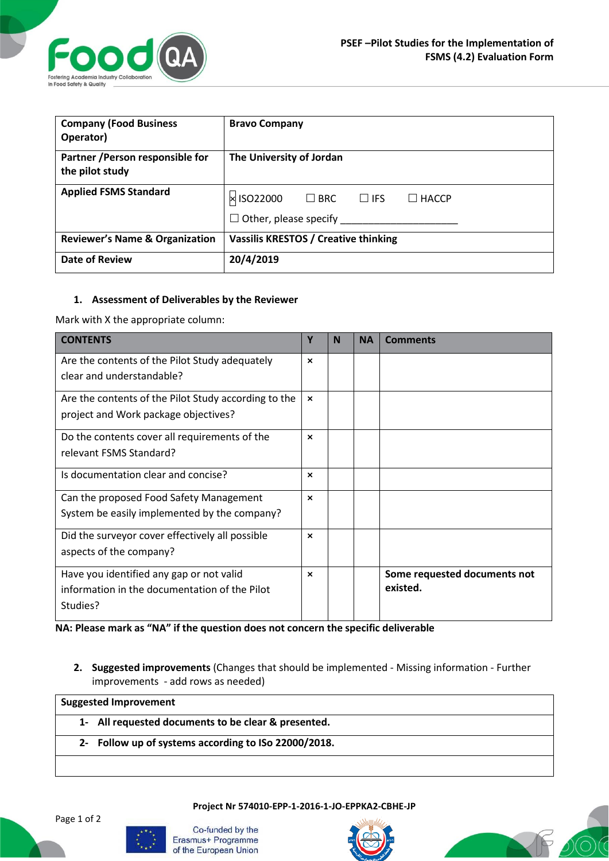

| <b>Company (Food Business</b><br>Operator)          | <b>Bravo Company</b>                                                                      |  |  |  |
|-----------------------------------------------------|-------------------------------------------------------------------------------------------|--|--|--|
| Partner / Person responsible for<br>the pilot study | The University of Jordan                                                                  |  |  |  |
| <b>Applied FSMS Standard</b>                        | × ISO22000<br>$\square$ BRC<br>$\Box$ IFS<br>$\Box$ HACCP<br>$\Box$ Other, please specify |  |  |  |
| <b>Reviewer's Name &amp; Organization</b>           | <b>Vassilis KRESTOS / Creative thinking</b>                                               |  |  |  |
| <b>Date of Review</b>                               | 20/4/2019                                                                                 |  |  |  |

## **1. Assessment of Deliverables by the Reviewer**

Mark with X the appropriate column:

| <b>CONTENTS</b>                                      | Υ                         | N | <b>NA</b> | <b>Comments</b>              |
|------------------------------------------------------|---------------------------|---|-----------|------------------------------|
| Are the contents of the Pilot Study adequately       | $\boldsymbol{\mathsf{x}}$ |   |           |                              |
| clear and understandable?                            |                           |   |           |                              |
| Are the contents of the Pilot Study according to the | $\boldsymbol{\mathsf{x}}$ |   |           |                              |
| project and Work package objectives?                 |                           |   |           |                              |
| Do the contents cover all requirements of the        | $\boldsymbol{\mathsf{x}}$ |   |           |                              |
| relevant FSMS Standard?                              |                           |   |           |                              |
| Is documentation clear and concise?                  | $\boldsymbol{\mathsf{x}}$ |   |           |                              |
| Can the proposed Food Safety Management              | $\boldsymbol{\mathsf{x}}$ |   |           |                              |
| System be easily implemented by the company?         |                           |   |           |                              |
| Did the surveyor cover effectively all possible      | $\boldsymbol{\mathsf{x}}$ |   |           |                              |
| aspects of the company?                              |                           |   |           |                              |
| Have you identified any gap or not valid             | $\mathbf x$               |   |           | Some requested documents not |
| information in the documentation of the Pilot        |                           |   |           | existed.                     |
| Studies?                                             |                           |   |           |                              |

**NA: Please mark as "NA" if the question does not concern the specific deliverable**

**2. Suggested improvements** (Changes that should be implemented - Missing information - Further improvements - add rows as needed)

**Suggested Improvement 1- All requested documents to be clear & presented. 2- Follow up of systems according to ISo 22000/2018.**

**Project Nr 574010-EPP-1-2016-1-JO-EPPKA2-CBHE-JP**